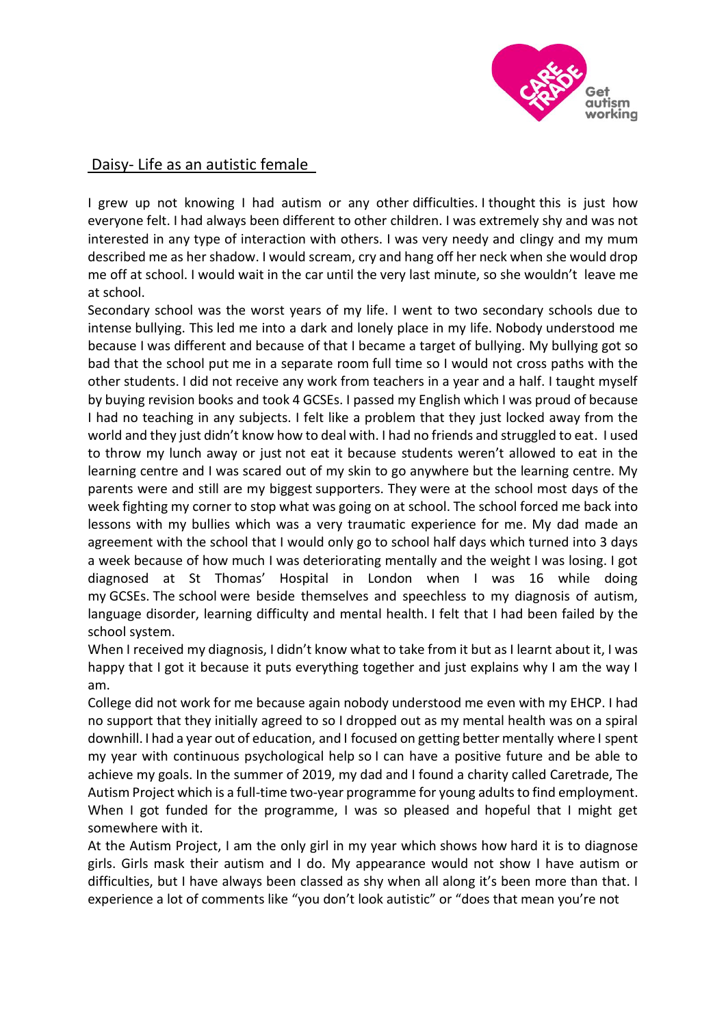

## Daisy- Life as an autistic female

I grew up not knowing I had autism or any other difficulties. I thought this is just how everyone felt. I had always been different to other children. I was extremely shy and was not interested in any type of interaction with others. I was very needy and clingy and my mum described me as her shadow. I would scream, cry and hang off her neck when she would drop me off at school. I would wait in the car until the very last minute, so she wouldn't leave me at school.

Secondary school was the worst years of my life. I went to two secondary schools due to intense bullying. This led me into a dark and lonely place in my life. Nobody understood me because I was different and because of that I became a target of bullying. My bullying got so bad that the school put me in a separate room full time so I would not cross paths with the other students. I did not receive any work from teachers in a year and a half. I taught myself by buying revision books and took 4 GCSEs. I passed my English which I was proud of because I had no teaching in any subjects. I felt like a problem that they just locked away from the world and they just didn't know how to deal with. I had no friends and struggled to eat. I used to throw my lunch away or just not eat it because students weren't allowed to eat in the learning centre and I was scared out of my skin to go anywhere but the learning centre. My parents were and still are my biggest supporters. They were at the school most days of the week fighting my corner to stop what was going on at school. The school forced me back into lessons with my bullies which was a very traumatic experience for me. My dad made an agreement with the school that I would only go to school half days which turned into 3 days a week because of how much I was deteriorating mentally and the weight I was losing. I got diagnosed at St Thomas' Hospital in London when I was 16 while doing my GCSEs. The school were beside themselves and speechless to my diagnosis of autism, language disorder, learning difficulty and mental health. I felt that I had been failed by the school system.

When I received my diagnosis, I didn't know what to take from it but as I learnt about it, I was happy that I got it because it puts everything together and just explains why I am the way I am.

College did not work for me because again nobody understood me even with my EHCP. I had no support that they initially agreed to so I dropped out as my mental health was on a spiral downhill. I had a year out of education, and I focused on getting better mentally where I spent my year with continuous psychological help so I can have a positive future and be able to achieve my goals. In the summer of 2019, my dad and I found a charity called Caretrade, The Autism Project which is a full-time two-year programme for young adults to find employment. When I got funded for the programme, I was so pleased and hopeful that I might get somewhere with it.

At the Autism Project, I am the only girl in my year which shows how hard it is to diagnose girls. Girls mask their autism and I do. My appearance would not show I have autism or difficulties, but I have always been classed as shy when all along it's been more than that. I experience a lot of comments like "you don't look autistic" or "does that mean you're not